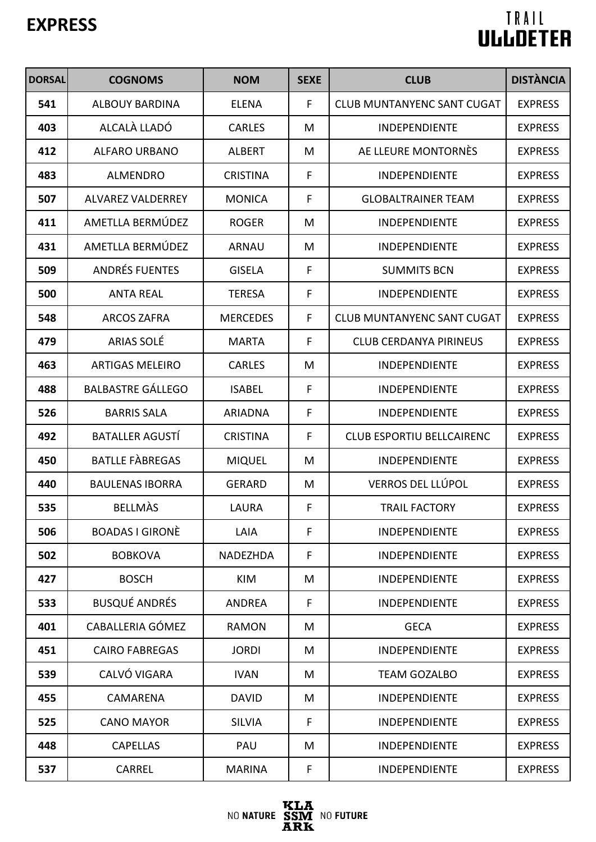| <b>DORSAL</b> | <b>COGNOMS</b>           | <b>NOM</b>      | <b>SEXE</b> | <b>CLUB</b>                       | <b>DISTÀNCIA</b> |
|---------------|--------------------------|-----------------|-------------|-----------------------------------|------------------|
| 541           | <b>ALBOUY BARDINA</b>    | <b>ELENA</b>    | F           | <b>CLUB MUNTANYENC SANT CUGAT</b> | <b>EXPRESS</b>   |
| 403           | ALCALÀ LLADÓ             | <b>CARLES</b>   | M           | <b>INDEPENDIENTE</b>              | <b>EXPRESS</b>   |
| 412           | <b>ALFARO URBANO</b>     | <b>ALBERT</b>   | M           | AE LLEURE MONTORNES               | <b>EXPRESS</b>   |
| 483           | <b>ALMENDRO</b>          | <b>CRISTINA</b> | F           | <b>INDEPENDIENTE</b>              | <b>EXPRESS</b>   |
| 507           | <b>ALVAREZ VALDERREY</b> | <b>MONICA</b>   | F           | <b>GLOBALTRAINER TEAM</b>         | <b>EXPRESS</b>   |
| 411           | AMETLLA BERMÚDEZ         | <b>ROGER</b>    | M           | <b>INDEPENDIENTE</b>              | <b>EXPRESS</b>   |
| 431           | AMETLLA BERMÚDEZ         | <b>ARNAU</b>    | M           | <b>INDEPENDIENTE</b>              | <b>EXPRESS</b>   |
| 509           | <b>ANDRÉS FUENTES</b>    | <b>GISELA</b>   | F           | <b>SUMMITS BCN</b>                | <b>EXPRESS</b>   |
| 500           | <b>ANTA REAL</b>         | <b>TERESA</b>   | F           | <b>INDEPENDIENTE</b>              | <b>EXPRESS</b>   |
| 548           | <b>ARCOS ZAFRA</b>       | <b>MERCEDES</b> | F           | <b>CLUB MUNTANYENC SANT CUGAT</b> | <b>EXPRESS</b>   |
| 479           | <b>ARIAS SOLÉ</b>        | <b>MARTA</b>    | F           | <b>CLUB CERDANYA PIRINEUS</b>     | <b>EXPRESS</b>   |
| 463           | <b>ARTIGAS MELEIRO</b>   | <b>CARLES</b>   | M           | <b>INDEPENDIENTE</b>              | <b>EXPRESS</b>   |
| 488           | <b>BALBASTRE GÁLLEGO</b> | <b>ISABEL</b>   | F           | <b>INDEPENDIENTE</b>              | <b>EXPRESS</b>   |
| 526           | <b>BARRIS SALA</b>       | <b>ARIADNA</b>  | F           | <b>INDEPENDIENTE</b>              | <b>EXPRESS</b>   |
| 492           | <b>BATALLER AGUSTÍ</b>   | <b>CRISTINA</b> | F           | <b>CLUB ESPORTIU BELLCAIRENC</b>  | <b>EXPRESS</b>   |
| 450           | <b>BATLLE FABREGAS</b>   | <b>MIQUEL</b>   | M           | INDEPENDIENTE                     | <b>EXPRESS</b>   |
| 440           | <b>BAULENAS IBORRA</b>   | <b>GERARD</b>   | M           | VERROS DEL LLÚPOL                 | <b>EXPRESS</b>   |
| 535           | <b>BELLMAS</b>           | LAURA           | F           | <b>TRAIL FACTORY</b>              | <b>EXPRESS</b>   |
| 506           | <b>BOADAS I GIRONÈ</b>   | LAIA            | F           | <b>INDEPENDIENTE</b>              | <b>EXPRESS</b>   |
| 502           | <b>BOBKOVA</b>           | NADEZHDA        | F           | <b>INDEPENDIENTE</b>              | <b>EXPRESS</b>   |
| 427           | <b>BOSCH</b>             | <b>KIM</b>      | M           | <b>INDEPENDIENTE</b>              | <b>EXPRESS</b>   |
| 533           | <b>BUSQUÉ ANDRÉS</b>     | <b>ANDREA</b>   | F           | <b>INDEPENDIENTE</b>              | <b>EXPRESS</b>   |
| 401           | CABALLERIA GÓMEZ         | <b>RAMON</b>    | M           | <b>GECA</b>                       | <b>EXPRESS</b>   |
| 451           | <b>CAIRO FABREGAS</b>    | <b>JORDI</b>    | M           | <b>INDEPENDIENTE</b>              | <b>EXPRESS</b>   |
| 539           | CALVÓ VIGARA             | <b>IVAN</b>     | M           | <b>TEAM GOZALBO</b>               | <b>EXPRESS</b>   |
| 455           | CAMARENA                 | <b>DAVID</b>    | M           | <b>INDEPENDIENTE</b>              | <b>EXPRESS</b>   |
| 525           | <b>CANO MAYOR</b>        | <b>SILVIA</b>   | F           | <b>INDEPENDIENTE</b>              | <b>EXPRESS</b>   |
| 448           | <b>CAPELLAS</b>          | PAU             | M           | <b>INDEPENDIENTE</b>              | <b>EXPRESS</b>   |
| 537           | <b>CARREL</b>            | <b>MARINA</b>   | F           | <b>INDEPENDIENTE</b>              | <b>EXPRESS</b>   |

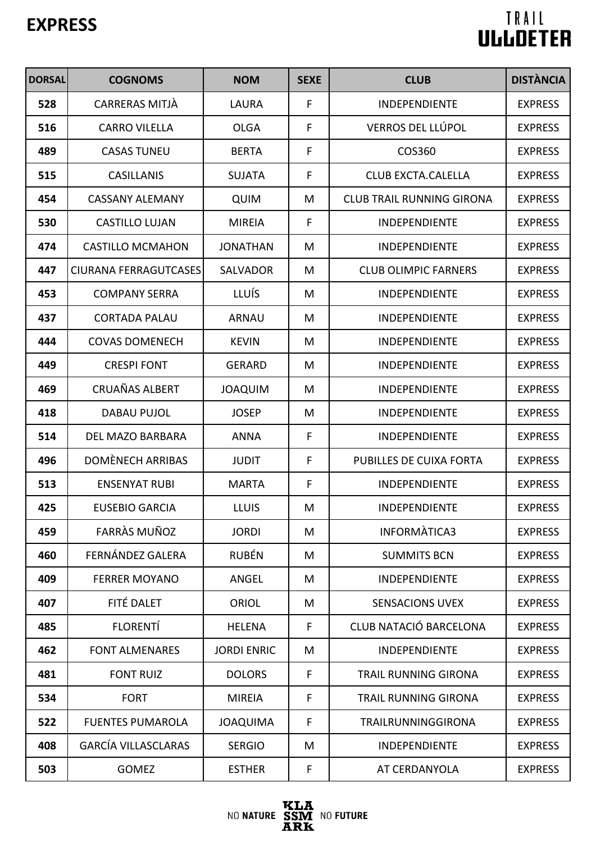| <b>DORSAL</b> | <b>COGNOMS</b>               | <b>NOM</b>         | <b>SEXE</b> | <b>CLUB</b>                      | <b>DISTÀNCIA</b> |
|---------------|------------------------------|--------------------|-------------|----------------------------------|------------------|
| 528           | CARRERAS MITJÀ               | LAURA              | F           | <b>INDEPENDIENTE</b>             | <b>EXPRESS</b>   |
| 516           | <b>CARRO VILELLA</b>         | <b>OLGA</b>        | F           | <b>VERROS DEL LLÚPOL</b>         | <b>EXPRESS</b>   |
| 489           | <b>CASAS TUNEU</b>           | <b>BERTA</b>       | F           | COS360                           | <b>EXPRESS</b>   |
| 515           | <b>CASILLANIS</b>            | <b>SUJATA</b>      | F           | <b>CLUB EXCTA.CALELLA</b>        | <b>EXPRESS</b>   |
| 454           | <b>CASSANY ALEMANY</b>       | <b>QUIM</b>        | M           | <b>CLUB TRAIL RUNNING GIRONA</b> | <b>EXPRESS</b>   |
| 530           | <b>CASTILLO LUJAN</b>        | <b>MIREIA</b>      | F           | <b>INDEPENDIENTE</b>             | <b>EXPRESS</b>   |
| 474           | <b>CASTILLO MCMAHON</b>      | <b>JONATHAN</b>    | M           | <b>INDEPENDIENTE</b>             | <b>EXPRESS</b>   |
| 447           | <b>CIURANA FERRAGUTCASES</b> | SALVADOR           | M           | <b>CLUB OLIMPIC FARNERS</b>      | <b>EXPRESS</b>   |
| 453           | <b>COMPANY SERRA</b>         | <b>LLUÍS</b>       | M           | <b>INDEPENDIENTE</b>             | <b>EXPRESS</b>   |
| 437           | <b>CORTADA PALAU</b>         | <b>ARNAU</b>       | M           | <b>INDEPENDIENTE</b>             | <b>EXPRESS</b>   |
| 444           | <b>COVAS DOMENECH</b>        | <b>KEVIN</b>       | M           | <b>INDEPENDIENTE</b>             | <b>EXPRESS</b>   |
| 449           | <b>CRESPI FONT</b>           | <b>GERARD</b>      | M           | <b>INDEPENDIENTE</b>             | <b>EXPRESS</b>   |
| 469           | CRUAÑAS ALBERT               | <b>JOAQUIM</b>     | M           | <b>INDEPENDIENTE</b>             | <b>EXPRESS</b>   |
| 418           | DABAU PUJOL                  | <b>JOSEP</b>       | M           | <b>INDEPENDIENTE</b>             | <b>EXPRESS</b>   |
| 514           | DEL MAZO BARBARA             | <b>ANNA</b>        | F           | <b>INDEPENDIENTE</b>             | <b>EXPRESS</b>   |
| 496           | DOMÈNECH ARRIBAS             | <b>JUDIT</b>       | F           | PUBILLES DE CUIXA FORTA          | <b>EXPRESS</b>   |
| 513           | <b>ENSENYAT RUBI</b>         | <b>MARTA</b>       | F           | <b>INDEPENDIENTE</b>             | <b>EXPRESS</b>   |
| 425           | EUSEBIO GARCIA               | <b>LLUIS</b>       | M           | <b>INDEPENDIENTE</b>             | <b>EXPRESS</b>   |
| 459           | <b>FARRAS MUÑOZ</b>          | <b>JORDI</b>       | M           | INFORMATICA3                     | <b>EXPRESS</b>   |
| 460           | FERNÁNDEZ GALERA             | <b>RUBÉN</b>       | M           | <b>SUMMITS BCN</b>               | <b>EXPRESS</b>   |
| 409           | <b>FERRER MOYANO</b>         | ANGEL              | M           | <b>INDEPENDIENTE</b>             | <b>EXPRESS</b>   |
| 407           | FITÉ DALET                   | <b>ORIOL</b>       | M           | <b>SENSACIONS UVEX</b>           | <b>EXPRESS</b>   |
| 485           | <b>FLORENTÍ</b>              | <b>HELENA</b>      | F           | CLUB NATACIÓ BARCELONA           | <b>EXPRESS</b>   |
| 462           | <b>FONT ALMENARES</b>        | <b>JORDI ENRIC</b> | M           | <b>INDEPENDIENTE</b>             | <b>EXPRESS</b>   |
| 481           | <b>FONT RUIZ</b>             | <b>DOLORS</b>      | F           | <b>TRAIL RUNNING GIRONA</b>      | <b>EXPRESS</b>   |
| 534           | <b>FORT</b>                  | <b>MIREIA</b>      | F           | TRAIL RUNNING GIRONA             | <b>EXPRESS</b>   |
| 522           | <b>FUENTES PUMAROLA</b>      | <b>JOAQUIMA</b>    | F           | <b>TRAILRUNNINGGIRONA</b>        | <b>EXPRESS</b>   |
| 408           | <b>GARCÍA VILLASCLARAS</b>   | <b>SERGIO</b>      | M           | <b>INDEPENDIENTE</b>             | <b>EXPRESS</b>   |
| 503           | <b>GOMEZ</b>                 | <b>ESTHER</b>      | F           | AT CERDANYOLA                    | <b>EXPRESS</b>   |

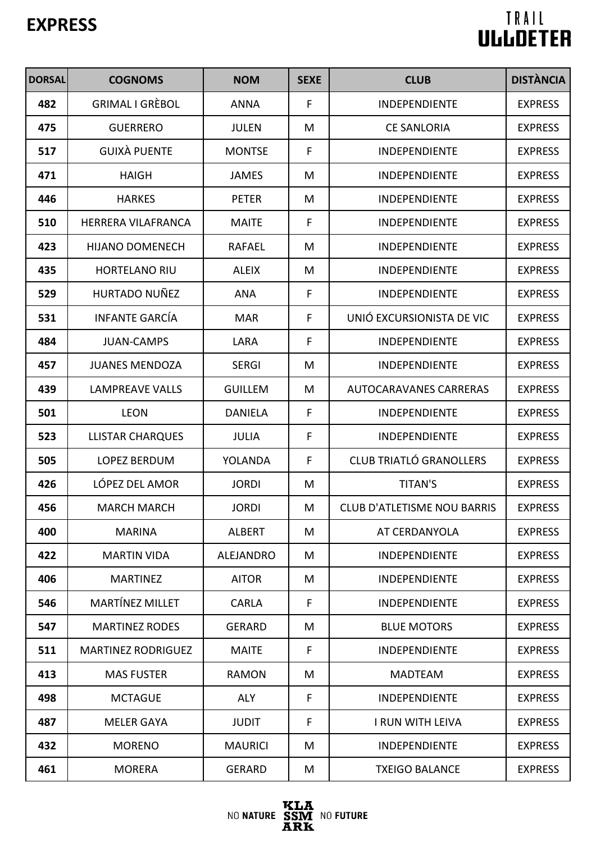| <b>DORSAL</b> | <b>COGNOMS</b>            | <b>NOM</b>     | <b>SEXE</b> | <b>CLUB</b>                        | <b>DISTÀNCIA</b> |
|---------------|---------------------------|----------------|-------------|------------------------------------|------------------|
| 482           | <b>GRIMAL I GRÈBOL</b>    | <b>ANNA</b>    | F           | <b>INDEPENDIENTE</b>               | <b>EXPRESS</b>   |
| 475           | <b>GUERRERO</b>           | <b>JULEN</b>   | M           | <b>CE SANLORIA</b>                 | <b>EXPRESS</b>   |
| 517           | <b>GUIXÀ PUENTE</b>       | <b>MONTSE</b>  | F           | <b>INDEPENDIENTE</b>               | <b>EXPRESS</b>   |
| 471           | <b>HAIGH</b>              | <b>JAMES</b>   | M           | <b>INDEPENDIENTE</b>               | <b>EXPRESS</b>   |
| 446           | <b>HARKES</b>             | <b>PETER</b>   | M           | <b>INDEPENDIENTE</b>               | <b>EXPRESS</b>   |
| 510           | <b>HERRERA VILAFRANCA</b> | <b>MAITE</b>   | F           | <b>INDEPENDIENTE</b>               | <b>EXPRESS</b>   |
| 423           | <b>HIJANO DOMENECH</b>    | <b>RAFAEL</b>  | M           | <b>INDEPENDIENTE</b>               | <b>EXPRESS</b>   |
| 435           | <b>HORTELANO RIU</b>      | <b>ALEIX</b>   | M           | <b>INDEPENDIENTE</b>               | <b>EXPRESS</b>   |
| 529           | HURTADO NUÑEZ             | <b>ANA</b>     | F           | <b>INDEPENDIENTE</b>               | <b>EXPRESS</b>   |
| 531           | <b>INFANTE GARCÍA</b>     | <b>MAR</b>     | F           | UNIÓ EXCURSIONISTA DE VIC          | <b>EXPRESS</b>   |
| 484           | <b>JUAN-CAMPS</b>         | LARA           | F           | <b>INDEPENDIENTE</b>               | <b>EXPRESS</b>   |
| 457           | <b>JUANES MENDOZA</b>     | <b>SERGI</b>   | M           | <b>INDEPENDIENTE</b>               | <b>EXPRESS</b>   |
| 439           | <b>LAMPREAVE VALLS</b>    | <b>GUILLEM</b> | M           | <b>AUTOCARAVANES CARRERAS</b>      | <b>EXPRESS</b>   |
| 501           | <b>LEON</b>               | <b>DANIELA</b> | F           | <b>INDEPENDIENTE</b>               | <b>EXPRESS</b>   |
| 523           | <b>LLISTAR CHARQUES</b>   | <b>JULIA</b>   | F           | <b>INDEPENDIENTE</b>               | <b>EXPRESS</b>   |
| 505           | LOPEZ BERDUM              | YOLANDA        | F           | <b>CLUB TRIATLÓ GRANOLLERS</b>     | <b>EXPRESS</b>   |
| 426           | LÓPEZ DEL AMOR            | <b>JORDI</b>   | M           | <b>TITAN'S</b>                     | <b>EXPRESS</b>   |
| 456           | <b>MARCH MARCH</b>        | <b>JORDI</b>   | M           | <b>CLUB D'ATLETISME NOU BARRIS</b> | <b>EXPRESS</b>   |
| 400           | <b>MARINA</b>             | <b>ALBERT</b>  | M           | AT CERDANYOLA                      | <b>EXPRESS</b>   |
| 422           | <b>MARTIN VIDA</b>        | ALEJANDRO      | M           | <b>INDEPENDIENTE</b>               | <b>EXPRESS</b>   |
| 406           | <b>MARTINEZ</b>           | <b>AITOR</b>   | M           | <b>INDEPENDIENTE</b>               | <b>EXPRESS</b>   |
| 546           | <b>MARTÍNEZ MILLET</b>    | <b>CARLA</b>   | F           | <b>INDEPENDIENTE</b>               | <b>EXPRESS</b>   |
| 547           | <b>MARTINEZ RODES</b>     | <b>GERARD</b>  | M           | <b>BLUE MOTORS</b>                 | <b>EXPRESS</b>   |
| 511           | <b>MARTINEZ RODRIGUEZ</b> | <b>MAITE</b>   | F           | <b>INDEPENDIENTE</b>               | <b>EXPRESS</b>   |
| 413           | <b>MAS FUSTER</b>         | <b>RAMON</b>   | M           | <b>MADTEAM</b>                     | <b>EXPRESS</b>   |
| 498           | <b>MCTAGUE</b>            | <b>ALY</b>     | F           | <b>INDEPENDIENTE</b>               | <b>EXPRESS</b>   |
| 487           | MELER GAYA                | <b>JUDIT</b>   | F           | <b>I RUN WITH LEIVA</b>            | <b>EXPRESS</b>   |
| 432           | <b>MORENO</b>             | <b>MAURICI</b> | M           | <b>INDEPENDIENTE</b>               | <b>EXPRESS</b>   |
| 461           | <b>MORERA</b>             | <b>GERARD</b>  | M           | <b>TXEIGO BALANCE</b>              | <b>EXPRESS</b>   |

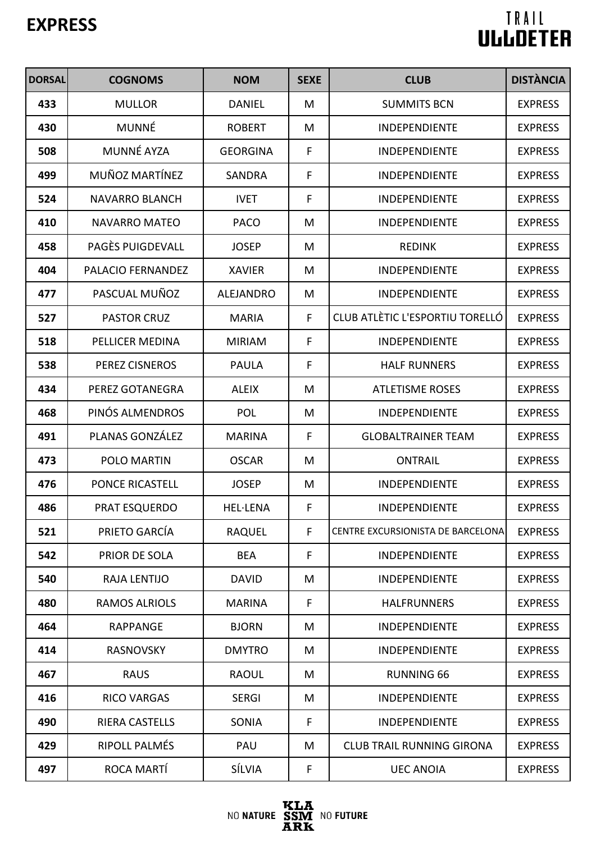| <b>DORSAL</b> | <b>COGNOMS</b>         | <b>NOM</b>       | <b>SEXE</b> | <b>CLUB</b>                       | <b>DISTÀNCIA</b> |
|---------------|------------------------|------------------|-------------|-----------------------------------|------------------|
| 433           | <b>MULLOR</b>          | <b>DANIEL</b>    | M           | <b>SUMMITS BCN</b>                | <b>EXPRESS</b>   |
| 430           | <b>MUNNÉ</b>           | <b>ROBERT</b>    | M           | <b>INDEPENDIENTE</b>              | <b>EXPRESS</b>   |
| 508           | <b>MUNNÉ AYZA</b>      | <b>GEORGINA</b>  | F           | <b>INDEPENDIENTE</b>              | <b>EXPRESS</b>   |
| 499           | MUÑOZ MARTÍNEZ         | <b>SANDRA</b>    | F           | <b>INDEPENDIENTE</b>              | <b>EXPRESS</b>   |
| 524           | <b>NAVARRO BLANCH</b>  | <b>IVET</b>      | F           | <b>INDEPENDIENTE</b>              | <b>EXPRESS</b>   |
| 410           | <b>NAVARRO MATEO</b>   | <b>PACO</b>      | M           | <b>INDEPENDIENTE</b>              | <b>EXPRESS</b>   |
| 458           | PAGÈS PUIGDEVALL       | <b>JOSEP</b>     | M           | <b>REDINK</b>                     | <b>EXPRESS</b>   |
| 404           | PALACIO FERNANDEZ      | <b>XAVIER</b>    | M           | <b>INDEPENDIENTE</b>              | <b>EXPRESS</b>   |
| 477           | PASCUAL MUÑOZ          | <b>ALEJANDRO</b> | M           | <b>INDEPENDIENTE</b>              | <b>EXPRESS</b>   |
| 527           | <b>PASTOR CRUZ</b>     | <b>MARIA</b>     | F           | CLUB ATLÈTIC L'ESPORTIU TORELLÓ   | <b>EXPRESS</b>   |
| 518           | <b>PELLICER MEDINA</b> | <b>MIRIAM</b>    | F           | <b>INDEPENDIENTE</b>              | <b>EXPRESS</b>   |
| 538           | <b>PEREZ CISNEROS</b>  | <b>PAULA</b>     | F           | <b>HALF RUNNERS</b>               | <b>EXPRESS</b>   |
| 434           | PEREZ GOTANEGRA        | <b>ALEIX</b>     | M           | <b>ATLETISME ROSES</b>            | <b>EXPRESS</b>   |
| 468           | PINÓS ALMENDROS        | <b>POL</b>       | M           | <b>INDEPENDIENTE</b>              | <b>EXPRESS</b>   |
| 491           | PLANAS GONZÁLEZ        | <b>MARINA</b>    | F           | <b>GLOBALTRAINER TEAM</b>         | <b>EXPRESS</b>   |
| 473           | POLO MARTIN            | <b>OSCAR</b>     | M           | <b>ONTRAIL</b>                    | <b>EXPRESS</b>   |
| 476           | <b>PONCE RICASTELL</b> | <b>JOSEP</b>     | M           | <b>INDEPENDIENTE</b>              | <b>EXPRESS</b>   |
| 486           | <b>PRAT ESQUERDO</b>   | <b>HEL·LENA</b>  | F           | <b>INDEPENDIENTE</b>              | <b>EXPRESS</b>   |
| 521           | PRIETO GARCÍA          | <b>RAQUEL</b>    | F.          | CENTRE EXCURSIONISTA DE BARCELONA | <b>EXPRESS</b>   |
| 542           | <b>PRIOR DE SOLA</b>   | <b>BEA</b>       | F           | <b>INDEPENDIENTE</b>              | <b>EXPRESS</b>   |
| 540           | <b>RAJA LENTIJO</b>    | <b>DAVID</b>     | M           | <b>INDEPENDIENTE</b>              | <b>EXPRESS</b>   |
| 480           | <b>RAMOS ALRIOLS</b>   | <b>MARINA</b>    | F           | <b>HALFRUNNERS</b>                | <b>EXPRESS</b>   |
| 464           | <b>RAPPANGE</b>        | <b>BJORN</b>     | M           | <b>INDEPENDIENTE</b>              | <b>EXPRESS</b>   |
| 414           | <b>RASNOVSKY</b>       | <b>DMYTRO</b>    | M           | <b>INDEPENDIENTE</b>              | <b>EXPRESS</b>   |
| 467           | <b>RAUS</b>            | <b>RAOUL</b>     | M           | <b>RUNNING 66</b>                 | <b>EXPRESS</b>   |
| 416           | <b>RICO VARGAS</b>     | <b>SERGI</b>     | M           | <b>INDEPENDIENTE</b>              | <b>EXPRESS</b>   |
| 490           | <b>RIERA CASTELLS</b>  | <b>SONIA</b>     | F           | <b>INDEPENDIENTE</b>              | <b>EXPRESS</b>   |
| 429           | RIPOLL PALMÉS          | PAU              | M           | <b>CLUB TRAIL RUNNING GIRONA</b>  | <b>EXPRESS</b>   |
| 497           | ROCA MARTÍ             | SÍLVIA           | F           | <b>UEC ANOIA</b>                  | <b>EXPRESS</b>   |

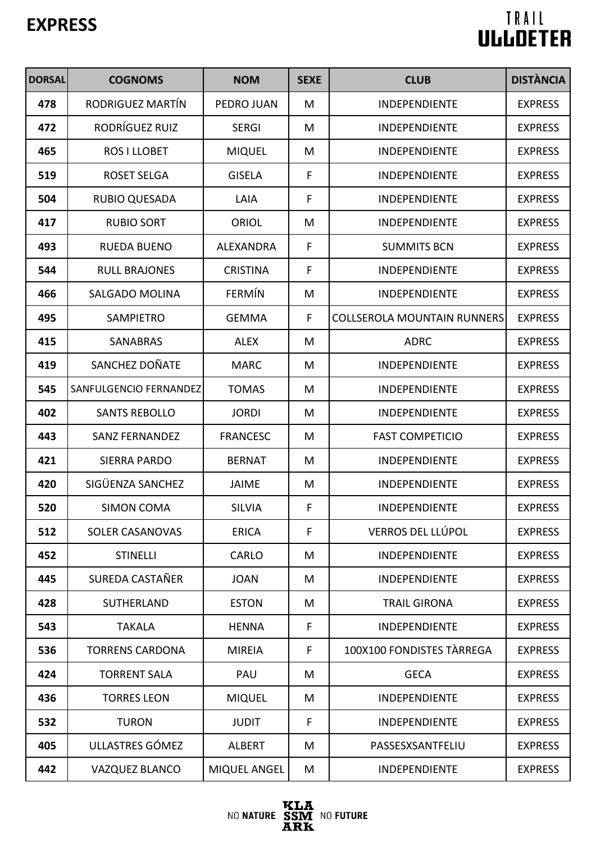| <b>DORSAL</b> | <b>COGNOMS</b>         | <b>NOM</b>          | <b>SEXE</b> | <b>CLUB</b>                        | <b>DISTÀNCIA</b> |
|---------------|------------------------|---------------------|-------------|------------------------------------|------------------|
| 478           | RODRIGUEZ MARTÍN       | PEDRO JUAN          | M           | <b>INDEPENDIENTE</b>               | <b>EXPRESS</b>   |
| 472           | RODRÍGUEZ RUIZ         | <b>SERGI</b>        | M           | <b>INDEPENDIENTE</b>               | <b>EXPRESS</b>   |
| 465           | ROS I LLOBET           | <b>MIQUEL</b>       | M           | <b>INDEPENDIENTE</b>               | <b>EXPRESS</b>   |
| 519           | <b>ROSET SELGA</b>     | <b>GISELA</b>       | F           | <b>INDEPENDIENTE</b>               | <b>EXPRESS</b>   |
| 504           | <b>RUBIO QUESADA</b>   | LAIA                | F           | <b>INDEPENDIENTE</b>               | <b>EXPRESS</b>   |
| 417           | <b>RUBIO SORT</b>      | ORIOL               | M           | <b>INDEPENDIENTE</b>               | <b>EXPRESS</b>   |
| 493           | <b>RUEDA BUENO</b>     | <b>ALEXANDRA</b>    | F           | <b>SUMMITS BCN</b>                 | <b>EXPRESS</b>   |
| 544           | <b>RULL BRAJONES</b>   | <b>CRISTINA</b>     | F           | INDEPENDIENTE                      | <b>EXPRESS</b>   |
| 466           | <b>SALGADO MOLINA</b>  | FERMÍN              | M           | <b>INDEPENDIENTE</b>               | <b>EXPRESS</b>   |
| 495           | <b>SAMPIETRO</b>       | <b>GEMMA</b>        | F           | <b>COLLSEROLA MOUNTAIN RUNNERS</b> | <b>EXPRESS</b>   |
| 415           | SANABRAS               | <b>ALEX</b>         | M           | <b>ADRC</b>                        | <b>EXPRESS</b>   |
| 419           | SANCHEZ DOÑATE         | <b>MARC</b>         | M           | <b>INDEPENDIENTE</b>               | <b>EXPRESS</b>   |
| 545           | SANFULGENCIO FERNANDEZ | <b>TOMAS</b>        | M           | <b>INDEPENDIENTE</b>               | <b>EXPRESS</b>   |
| 402           | <b>SANTS REBOLLO</b>   | <b>JORDI</b>        | M           | <b>INDEPENDIENTE</b>               | <b>EXPRESS</b>   |
| 443           | <b>SANZ FERNANDEZ</b>  | <b>FRANCESC</b>     | M           | <b>FAST COMPETICIO</b>             | <b>EXPRESS</b>   |
| 421           | <b>SIERRA PARDO</b>    | <b>BERNAT</b>       | M           | <b>INDEPENDIENTE</b>               | <b>EXPRESS</b>   |
| 420           | SIGÜENZA SANCHEZ       | <b>JAIME</b>        | M           | <b>INDEPENDIENTE</b>               | <b>EXPRESS</b>   |
| 520           | <b>SIMON COMA</b>      | <b>SILVIA</b>       | F           | <b>INDEPENDIENTE</b>               | <b>EXPRESS</b>   |
| 512           | <b>SOLER CASANOVAS</b> | <b>ERICA</b>        | F           | <b>VERROS DEL LLÚPOL</b>           | <b>EXPRESS</b>   |
| 452           | <b>STINELLI</b>        | <b>CARLO</b>        | M           | <b>INDEPENDIENTE</b>               | <b>EXPRESS</b>   |
| 445           | SUREDA CASTAÑER        | <b>JOAN</b>         | M           | <b>INDEPENDIENTE</b>               | <b>EXPRESS</b>   |
| 428           | <b>SUTHERLAND</b>      | <b>ESTON</b>        | M           | <b>TRAIL GIRONA</b>                | <b>EXPRESS</b>   |
| 543           | <b>TAKALA</b>          | <b>HENNA</b>        | F           | <b>INDEPENDIENTE</b>               | <b>EXPRESS</b>   |
| 536           | <b>TORRENS CARDONA</b> | <b>MIREIA</b>       | F.          | 100X100 FONDISTES TARREGA          | <b>EXPRESS</b>   |
| 424           | <b>TORRENT SALA</b>    | PAU                 | M           | <b>GECA</b>                        | <b>EXPRESS</b>   |
| 436           | <b>TORRES LEON</b>     | <b>MIQUEL</b>       | M           | <b>INDEPENDIENTE</b>               | <b>EXPRESS</b>   |
| 532           | <b>TURON</b>           | <b>JUDIT</b>        | F           | <b>INDEPENDIENTE</b>               | <b>EXPRESS</b>   |
| 405           | ULLASTRES GÓMEZ        | <b>ALBERT</b>       | M           | PASSESXSANTFELIU                   | <b>EXPRESS</b>   |
| 442           | <b>VAZQUEZ BLANCO</b>  | <b>MIQUEL ANGEL</b> | M           | <b>INDEPENDIENTE</b>               | <b>EXPRESS</b>   |